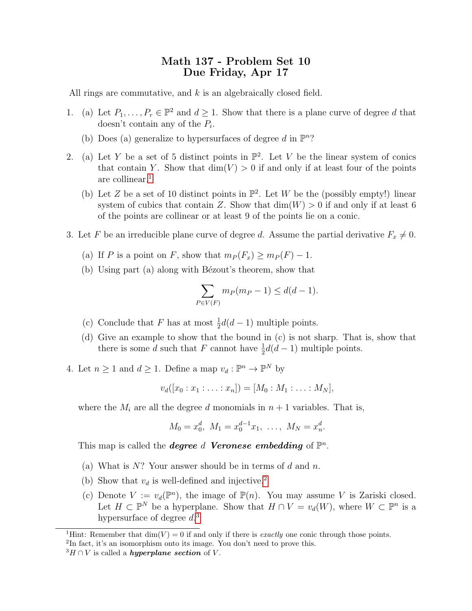## Math 137 - Problem Set 10 Due Friday, Apr 17

All rings are commutative, and  $k$  is an algebraically closed field.

- 1. (a) Let  $P_1, \ldots, P_r \in \mathbb{P}^2$  and  $d \geq 1$ . Show that there is a plane curve of degree d that doesn't contain any of the  $P_i$ .
	- (b) Does (a) generalize to hypersurfaces of degree d in  $\mathbb{P}^n$ ?
- 2. (a) Let Y be a set of 5 distinct points in  $\mathbb{P}^2$ . Let V be the linear system of conics that contain Y. Show that  $\dim(V) > 0$  if and only if at least four of the points are collinear.[1](#page-0-0)
	- (b) Let Z be a set of 10 distinct points in  $\mathbb{P}^2$ . Let W be the (possibly empty!) linear system of cubics that contain Z. Show that  $\dim(W) > 0$  if and only if at least 6 of the points are collinear or at least 9 of the points lie on a conic.
- 3. Let F be an irreducible plane curve of degree d. Assume the partial derivative  $F_x \neq 0$ .
	- (a) If P is a point on F, show that  $m_P(F_x) \geq m_P(F) 1$ .
	- (b) Using part (a) along with Bézout's theorem, show that

$$
\sum_{P \in V(F)} m_P(m_P - 1) \le d(d - 1).
$$

- (c) Conclude that F has at most  $\frac{1}{2}d(d-1)$  multiple points.
- (d) Give an example to show that the bound in (c) is not sharp. That is, show that there is some d such that F cannot have  $\frac{1}{2}d(d-1)$  multiple points.
- 4. Let  $n \geq 1$  and  $d \geq 1$ . Define a map  $v_d : \mathbb{P}^n \to \mathbb{P}^N$  by

$$
v_d([x_0:x_1:\ldots:x_n])=[M_0:M_1:\ldots:M_N],
$$

where the  $M_i$  are all the degree d monomials in  $n+1$  variables. That is,

$$
M_0 = x_0^d, \ M_1 = x_0^{d-1} x_1, \ \ldots, \ M_N = x_n^d.
$$

This map is called the **degree** d **Veronese embedding** of  $\mathbb{P}^n$ .

- (a) What is  $N$ ? Your answer should be in terms of d and n.
- (b) Show that  $v_d$  is well-defined and injective.<sup>[2](#page-0-1)</sup>
- (c) Denote  $V := v_d(\mathbb{P}^n)$ , the image of  $\mathbb{P}(n)$ . You may assume V is Zariski closed. Let  $H \subset \mathbb{P}^N$  be a hyperplane. Show that  $H \cap V = v_d(W)$ , where  $W \subset \mathbb{P}^n$  is a hypersurface of degree  $d^3$  $d^3$ .

<span id="page-0-0"></span><sup>&</sup>lt;sup>1</sup>Hint: Remember that  $\dim(V) = 0$  if and only if there is *exactly* one conic through those points.

<span id="page-0-1"></span><sup>&</sup>lt;sup>2</sup>In fact, it's an isomorphism onto its image. You don't need to prove this.

<span id="page-0-2"></span> ${}^{3}H \cap V$  is called a *hyperplane section* of V.